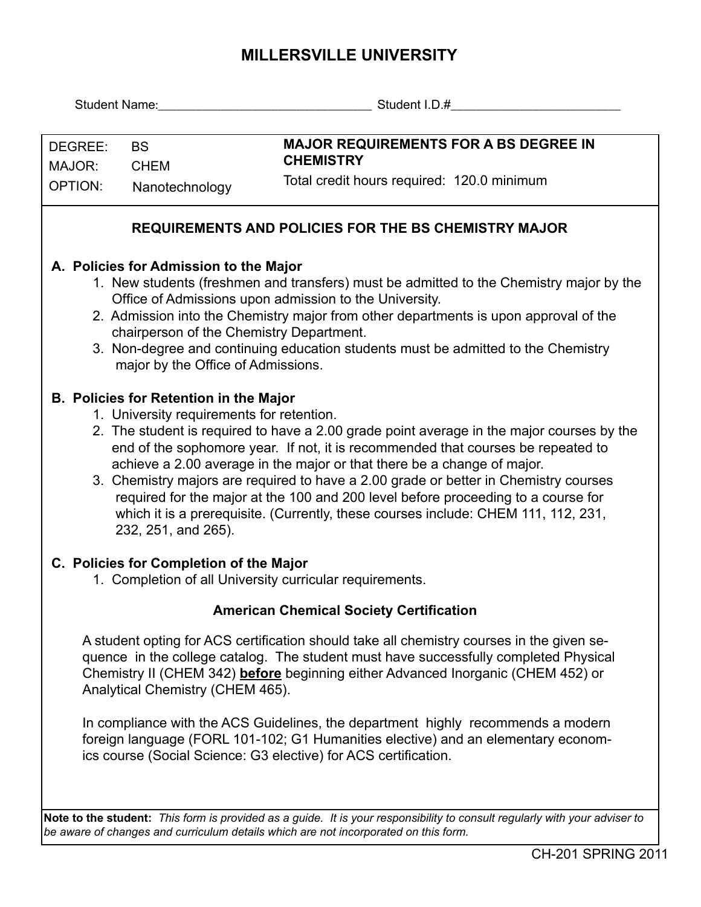## **MILLERSVILLE UNIVERSITY**

| <b>Student Name:</b> Student Name:                                                                  |                                                                                                                                                                 | Student I.D.#                                                                                                              |  |  |  |  |  |  |  |  |  |  |
|-----------------------------------------------------------------------------------------------------|-----------------------------------------------------------------------------------------------------------------------------------------------------------------|----------------------------------------------------------------------------------------------------------------------------|--|--|--|--|--|--|--|--|--|--|
|                                                                                                     |                                                                                                                                                                 |                                                                                                                            |  |  |  |  |  |  |  |  |  |  |
| DEGREE:                                                                                             | <b>BS</b>                                                                                                                                                       | <b>MAJOR REQUIREMENTS FOR A BS DEGREE IN</b>                                                                               |  |  |  |  |  |  |  |  |  |  |
| MAJOR:                                                                                              | <b>CHEM</b>                                                                                                                                                     | <b>CHEMISTRY</b>                                                                                                           |  |  |  |  |  |  |  |  |  |  |
| <b>OPTION:</b>                                                                                      | Nanotechnology                                                                                                                                                  | Total credit hours required: 120.0 minimum                                                                                 |  |  |  |  |  |  |  |  |  |  |
| <b>REQUIREMENTS AND POLICIES FOR THE BS CHEMISTRY MAJOR</b>                                         |                                                                                                                                                                 |                                                                                                                            |  |  |  |  |  |  |  |  |  |  |
| A. Policies for Admission to the Major                                                              |                                                                                                                                                                 |                                                                                                                            |  |  |  |  |  |  |  |  |  |  |
|                                                                                                     |                                                                                                                                                                 | 1. New students (freshmen and transfers) must be admitted to the Chemistry major by the                                    |  |  |  |  |  |  |  |  |  |  |
|                                                                                                     |                                                                                                                                                                 | Office of Admissions upon admission to the University.                                                                     |  |  |  |  |  |  |  |  |  |  |
|                                                                                                     |                                                                                                                                                                 | 2. Admission into the Chemistry major from other departments is upon approval of the                                       |  |  |  |  |  |  |  |  |  |  |
| chairperson of the Chemistry Department.                                                            |                                                                                                                                                                 |                                                                                                                            |  |  |  |  |  |  |  |  |  |  |
|                                                                                                     | major by the Office of Admissions.                                                                                                                              | 3. Non-degree and continuing education students must be admitted to the Chemistry                                          |  |  |  |  |  |  |  |  |  |  |
|                                                                                                     |                                                                                                                                                                 |                                                                                                                            |  |  |  |  |  |  |  |  |  |  |
| <b>B. Policies for Retention in the Major</b>                                                       |                                                                                                                                                                 |                                                                                                                            |  |  |  |  |  |  |  |  |  |  |
| 1. University requirements for retention.                                                           |                                                                                                                                                                 |                                                                                                                            |  |  |  |  |  |  |  |  |  |  |
|                                                                                                     | 2. The student is required to have a 2.00 grade point average in the major courses by the                                                                       |                                                                                                                            |  |  |  |  |  |  |  |  |  |  |
|                                                                                                     | end of the sophomore year. If not, it is recommended that courses be repeated to                                                                                |                                                                                                                            |  |  |  |  |  |  |  |  |  |  |
|                                                                                                     | achieve a 2.00 average in the major or that there be a change of major.<br>3. Chemistry majors are required to have a 2.00 grade or better in Chemistry courses |                                                                                                                            |  |  |  |  |  |  |  |  |  |  |
|                                                                                                     |                                                                                                                                                                 | required for the major at the 100 and 200 level before proceeding to a course for                                          |  |  |  |  |  |  |  |  |  |  |
|                                                                                                     |                                                                                                                                                                 | which it is a prerequisite. (Currently, these courses include: CHEM 111, 112, 231,                                         |  |  |  |  |  |  |  |  |  |  |
|                                                                                                     | 232, 251, and 265).                                                                                                                                             |                                                                                                                            |  |  |  |  |  |  |  |  |  |  |
|                                                                                                     |                                                                                                                                                                 |                                                                                                                            |  |  |  |  |  |  |  |  |  |  |
| C. Policies for Completion of the Major<br>1. Completion of all University curricular requirements. |                                                                                                                                                                 |                                                                                                                            |  |  |  |  |  |  |  |  |  |  |
|                                                                                                     |                                                                                                                                                                 |                                                                                                                            |  |  |  |  |  |  |  |  |  |  |
|                                                                                                     |                                                                                                                                                                 | <b>American Chemical Society Certification</b>                                                                             |  |  |  |  |  |  |  |  |  |  |
|                                                                                                     |                                                                                                                                                                 | A student opting for ACS certification should take all chemistry courses in the given se-                                  |  |  |  |  |  |  |  |  |  |  |
|                                                                                                     | quence in the college catalog. The student must have successfully completed Physical                                                                            |                                                                                                                            |  |  |  |  |  |  |  |  |  |  |
| Chemistry II (CHEM 342) before beginning either Advanced Inorganic (CHEM 452) or                    |                                                                                                                                                                 |                                                                                                                            |  |  |  |  |  |  |  |  |  |  |
|                                                                                                     | Analytical Chemistry (CHEM 465).                                                                                                                                |                                                                                                                            |  |  |  |  |  |  |  |  |  |  |
|                                                                                                     |                                                                                                                                                                 | In compliance with the ACS Guidelines, the department highly recommends a modern                                           |  |  |  |  |  |  |  |  |  |  |
| foreign language (FORL 101-102; G1 Humanities elective) and an elementary econom-                   |                                                                                                                                                                 |                                                                                                                            |  |  |  |  |  |  |  |  |  |  |
| ics course (Social Science: G3 elective) for ACS certification.                                     |                                                                                                                                                                 |                                                                                                                            |  |  |  |  |  |  |  |  |  |  |
|                                                                                                     |                                                                                                                                                                 |                                                                                                                            |  |  |  |  |  |  |  |  |  |  |
|                                                                                                     |                                                                                                                                                                 |                                                                                                                            |  |  |  |  |  |  |  |  |  |  |
|                                                                                                     |                                                                                                                                                                 | Note to the student: This form is provided as a guide. It is your responsibility to consult regularly with your adviser to |  |  |  |  |  |  |  |  |  |  |
|                                                                                                     |                                                                                                                                                                 | be aware of changes and curriculum details which are not incorporated on this form.                                        |  |  |  |  |  |  |  |  |  |  |
|                                                                                                     |                                                                                                                                                                 |                                                                                                                            |  |  |  |  |  |  |  |  |  |  |